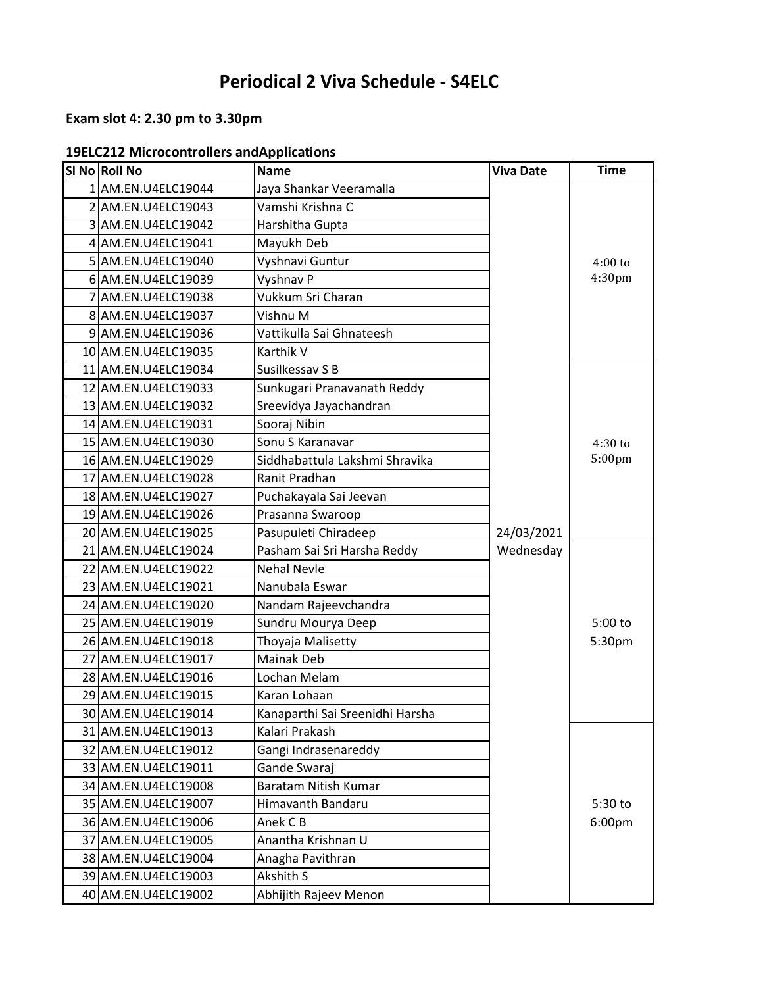# **Periodical 2 Viva Schedule - S4ELC**

# **Exam slot 4: 2.30 pm to 3.30pm**

| <b>19ELC212 Microcontrollers and Applications</b> |  |
|---------------------------------------------------|--|
|---------------------------------------------------|--|

| SI No Roll No       | <b>Name</b>                     | <b>Viva Date</b> | <b>Time</b> |
|---------------------|---------------------------------|------------------|-------------|
| 1 AM.EN.U4ELC19044  | Jaya Shankar Veeramalla         |                  |             |
| 2 AM.EN.U4ELC19043  | Vamshi Krishna C                |                  |             |
| 3 AM.EN.U4ELC19042  | Harshitha Gupta                 |                  |             |
| 4 AM.EN.U4ELC19041  | Mayukh Deb                      |                  |             |
| 5 AM.EN.U4ELC19040  | Vyshnavi Guntur                 |                  | $4:00$ to   |
| 6 AM.EN.U4ELC19039  | Vyshnav P                       |                  | 4:30pm      |
| 7 AM.EN.U4ELC19038  | Vukkum Sri Charan               |                  |             |
| 8 AM.EN.U4ELC19037  | Vishnu M                        |                  |             |
| 9 AM.EN.U4ELC19036  | Vattikulla Sai Ghnateesh        |                  |             |
| 10 AM.EN.U4ELC19035 | Karthik V                       |                  |             |
| 11 AM.EN.U4ELC19034 | Susilkessav S B                 |                  |             |
| 12 AM.EN.U4ELC19033 | Sunkugari Pranavanath Reddy     |                  |             |
| 13 AM.EN.U4ELC19032 | Sreevidya Jayachandran          |                  |             |
| 14 AM.EN.U4ELC19031 | Sooraj Nibin                    |                  |             |
| 15 AM.EN.U4ELC19030 | Sonu S Karanavar                |                  | $4:30$ to   |
| 16 AM.EN.U4ELC19029 | Siddhabattula Lakshmi Shravika  |                  | 5:00pm      |
| 17 AM.EN.U4ELC19028 | Ranit Pradhan                   |                  |             |
| 18 AM.EN.U4ELC19027 | Puchakayala Sai Jeevan          |                  |             |
| 19 AM.EN.U4ELC19026 | Prasanna Swaroop                |                  |             |
| 20 AM.EN.U4ELC19025 | Pasupuleti Chiradeep            | 24/03/2021       |             |
| 21 AM.EN.U4ELC19024 | Pasham Sai Sri Harsha Reddy     | Wednesday        |             |
| 22 AM.EN.U4ELC19022 | <b>Nehal Nevle</b>              |                  |             |
| 23 AM.EN.U4ELC19021 | Nanubala Eswar                  |                  |             |
| 24 AM.EN.U4ELC19020 | Nandam Rajeevchandra            |                  |             |
| 25 AM.EN.U4ELC19019 | Sundru Mourya Deep              |                  | 5:00 to     |
| 26 AM.EN.U4ELC19018 | Thoyaja Malisetty               |                  | 5:30pm      |
| 27 AM.EN.U4ELC19017 | <b>Mainak Deb</b>               |                  |             |
| 28 AM.EN.U4ELC19016 | Lochan Melam                    |                  |             |
| 29 AM.EN.U4ELC19015 | Karan Lohaan                    |                  |             |
| 30 AM.EN.U4ELC19014 | Kanaparthi Sai Sreenidhi Harsha |                  |             |
| 31 AM.EN.U4ELC19013 | Kalari Prakash                  |                  |             |
| 32 AM.EN.U4ELC19012 | Gangi Indrasenareddy            |                  |             |
| 33 AM.EN.U4ELC19011 | Gande Swaraj                    |                  |             |
| 34 AM.EN.U4ELC19008 | Baratam Nitish Kumar            |                  |             |
| 35 AM.EN.U4ELC19007 | Himavanth Bandaru               |                  | 5:30 to     |
| 36 AM.EN.U4ELC19006 | Anek C B                        |                  | 6:00pm      |
| 37 AM.EN.U4ELC19005 | Anantha Krishnan U              |                  |             |
| 38 AM.EN.U4ELC19004 | Anagha Pavithran                |                  |             |
| 39 AM.EN.U4ELC19003 | Akshith S                       |                  |             |
| 40 AM.EN.U4ELC19002 | Abhijith Rajeev Menon           |                  |             |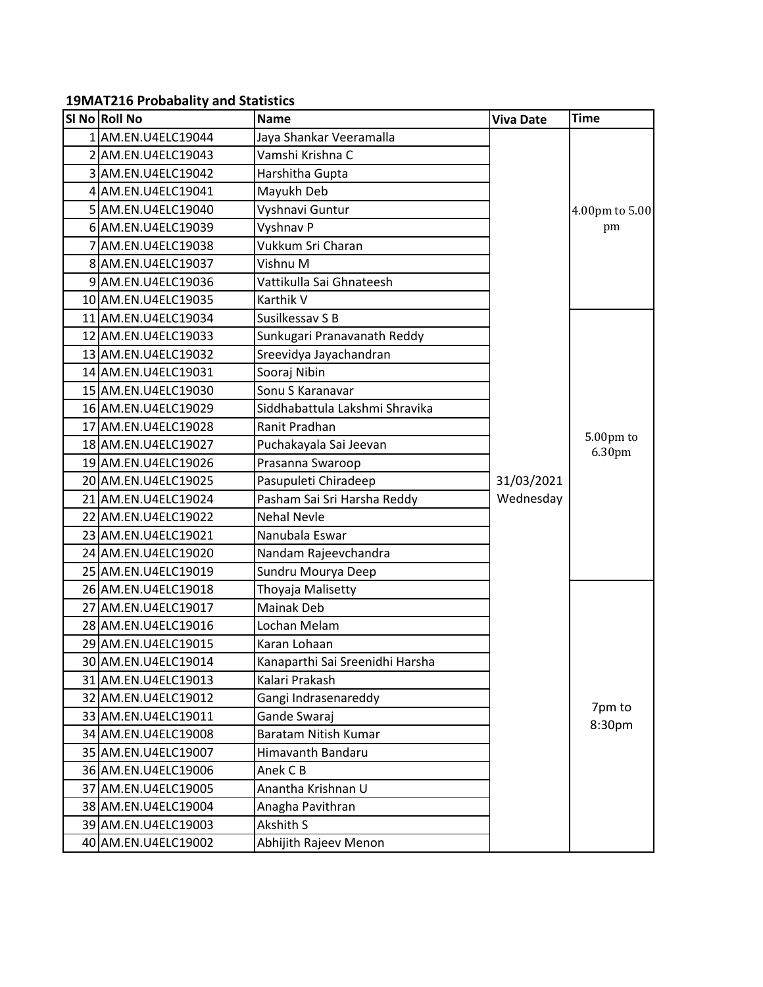# **19MAT216 Probabality and Statistics**

| SI No Roll No       | <b>Name</b>                     | <b>Viva Date</b> | <b>Time</b>         |
|---------------------|---------------------------------|------------------|---------------------|
| 1 AM.EN.U4ELC19044  | Jaya Shankar Veeramalla         |                  |                     |
| 2 AM.EN.U4ELC19043  | Vamshi Krishna C                |                  |                     |
| 3 AM.EN.U4ELC19042  | Harshitha Gupta                 |                  |                     |
| 4 AM.EN.U4ELC19041  | Mayukh Deb                      |                  |                     |
| 5 AM.EN.U4ELC19040  | Vyshnavi Guntur                 |                  | 4.00pm to 5.00      |
| 6 AM.EN.U4ELC19039  | Vyshnav P                       |                  | pm                  |
| 7 AM.EN.U4ELC19038  | Vukkum Sri Charan               |                  |                     |
| 8 AM.EN.U4ELC19037  | Vishnu M                        |                  |                     |
| 9 AM.EN.U4ELC19036  | Vattikulla Sai Ghnateesh        |                  |                     |
| 10 AM.EN.U4ELC19035 | Karthik V                       |                  |                     |
| 11 AM.EN.U4ELC19034 | Susilkessav S B                 |                  |                     |
| 12 AM.EN.U4ELC19033 | Sunkugari Pranavanath Reddy     |                  |                     |
| 13 AM.EN.U4ELC19032 | Sreevidya Jayachandran          |                  |                     |
| 14 AM.EN.U4ELC19031 | Sooraj Nibin                    |                  |                     |
| 15 AM.EN.U4ELC19030 | Sonu S Karanavar                |                  |                     |
| 16 AM.EN.U4ELC19029 | Siddhabattula Lakshmi Shravika  |                  |                     |
| 17 AM.EN.U4ELC19028 | Ranit Pradhan                   |                  |                     |
| 18 AM.EN.U4ELC19027 | Puchakayala Sai Jeevan          |                  | 5.00pm to<br>6.30pm |
| 19 AM.EN.U4ELC19026 | Prasanna Swaroop                |                  |                     |
| 20 AM.EN.U4ELC19025 | Pasupuleti Chiradeep            | 31/03/2021       |                     |
| 21 AM.EN.U4ELC19024 | Pasham Sai Sri Harsha Reddy     | Wednesday        |                     |
| 22 AM.EN.U4ELC19022 | <b>Nehal Nevle</b>              |                  |                     |
| 23 AM.EN.U4ELC19021 | Nanubala Eswar                  |                  |                     |
| 24 AM.EN.U4ELC19020 | Nandam Rajeevchandra            |                  |                     |
| 25 AM.EN.U4ELC19019 | Sundru Mourya Deep              |                  |                     |
| 26 AM.EN.U4ELC19018 | Thoyaja Malisetty               |                  |                     |
| 27 AM.EN.U4ELC19017 | <b>Mainak Deb</b>               |                  |                     |
| 28 AM.EN.U4ELC19016 | Lochan Melam                    |                  |                     |
| 29 AM.EN.U4ELC19015 | Karan Lohaan                    |                  |                     |
| 30 AM.EN.U4ELC19014 | Kanaparthi Sai Sreenidhi Harsha |                  |                     |
| 31 AM.EN.U4ELC19013 | Kalari Prakash                  |                  |                     |
| 32 AM.EN.U4ELC19012 | Gangi Indrasenareddy            |                  | 7pm to              |
| 33 AM.EN.U4ELC19011 | Gande Swaraj                    |                  | 8:30pm              |
| 34 AM.EN.U4ELC19008 | Baratam Nitish Kumar            |                  |                     |
| 35 AM.EN.U4ELC19007 | Himavanth Bandaru               |                  |                     |
| 36 AM.EN.U4ELC19006 | Anek C B                        |                  |                     |
| 37 AM.EN.U4ELC19005 | Anantha Krishnan U              |                  |                     |
| 38 AM.EN.U4ELC19004 | Anagha Pavithran                |                  |                     |
| 39 AM.EN.U4ELC19003 | Akshith S                       |                  |                     |
| 40 AM.EN.U4ELC19002 | Abhijith Rajeev Menon           |                  |                     |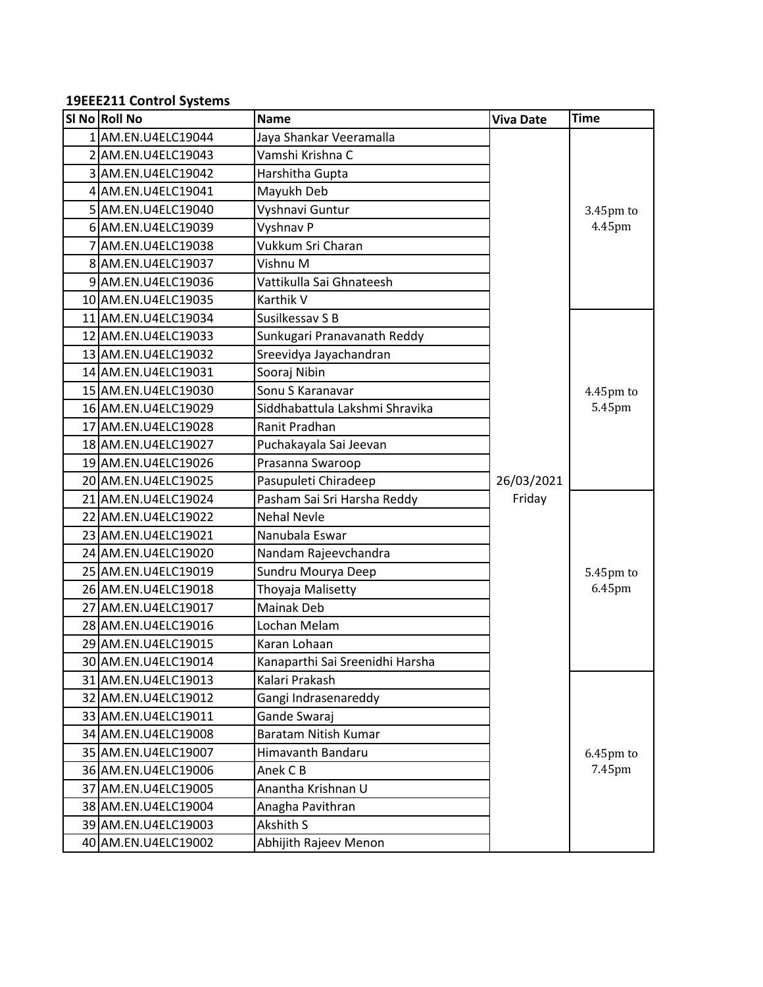#### **19EEE211 Control Systems**

| SI No Roll No       | <b>Name</b>                     | <b>Viva Date</b> | <b>Time</b> |
|---------------------|---------------------------------|------------------|-------------|
| 1 AM.EN.U4ELC19044  | Jaya Shankar Veeramalla         |                  |             |
| 2 AM.EN.U4ELC19043  | Vamshi Krishna C                |                  |             |
| 3 AM.EN.U4ELC19042  | Harshitha Gupta                 |                  |             |
| 4 AM.EN.U4ELC19041  | Mayukh Deb                      |                  |             |
| 5 AM.EN.U4ELC19040  | Vyshnavi Guntur                 |                  | 3.45pm to   |
| 6 AM.EN.U4ELC19039  | Vyshnav P                       |                  | 4.45pm      |
| 7 AM.EN.U4ELC19038  | Vukkum Sri Charan               |                  |             |
| 8 AM.EN.U4ELC19037  | Vishnu M                        |                  |             |
| 9 AM.EN.U4ELC19036  | Vattikulla Sai Ghnateesh        |                  |             |
| 10 AM.EN.U4ELC19035 | Karthik V                       |                  |             |
| 11 AM.EN.U4ELC19034 | Susilkessav S B                 |                  |             |
| 12 AM.EN.U4ELC19033 | Sunkugari Pranavanath Reddy     |                  |             |
| 13 AM.EN.U4ELC19032 | Sreevidya Jayachandran          |                  |             |
| 14 AM.EN.U4ELC19031 | Sooraj Nibin                    |                  |             |
| 15 AM.EN.U4ELC19030 | Sonu S Karanavar                |                  | 4.45pm to   |
| 16 AM.EN.U4ELC19029 | Siddhabattula Lakshmi Shravika  |                  | 5.45pm      |
| 17 AM.EN.U4ELC19028 | <b>Ranit Pradhan</b>            |                  |             |
| 18 AM.EN.U4ELC19027 | Puchakayala Sai Jeevan          |                  |             |
| 19 AM.EN.U4ELC19026 | Prasanna Swaroop                |                  |             |
| 20 AM.EN.U4ELC19025 | Pasupuleti Chiradeep            | 26/03/2021       |             |
| 21 AM.EN.U4ELC19024 | Pasham Sai Sri Harsha Reddy     | Friday           |             |
| 22 AM.EN.U4ELC19022 | Nehal Nevle                     |                  |             |
| 23 AM.EN.U4ELC19021 | Nanubala Eswar                  |                  |             |
| 24 AM.EN.U4ELC19020 | Nandam Rajeevchandra            |                  |             |
| 25 AM.EN.U4ELC19019 | Sundru Mourya Deep              |                  | 5.45pm to   |
| 26 AM.EN.U4ELC19018 | Thoyaja Malisetty               |                  | 6.45pm      |
| 27 AM.EN.U4ELC19017 | Mainak Deb                      |                  |             |
| 28 AM.EN.U4ELC19016 | Lochan Melam                    |                  |             |
| 29 AM.EN.U4ELC19015 | Karan Lohaan                    |                  |             |
| 30 AM.EN.U4ELC19014 | Kanaparthi Sai Sreenidhi Harsha |                  |             |
| 31 AM.EN.U4ELC19013 | Kalari Prakash                  |                  |             |
| 32 AM.EN.U4ELC19012 | Gangi Indrasenareddy            |                  |             |
| 33 AM.EN.U4ELC19011 | Gande Swaraj                    |                  |             |
| 34 AM.EN.U4ELC19008 | Baratam Nitish Kumar            |                  |             |
| 35 AM.EN.U4ELC19007 | Himavanth Bandaru               |                  | 6.45pm to   |
| 36 AM.EN.U4ELC19006 | Anek C B                        |                  | 7.45pm      |
| 37 AM.EN.U4ELC19005 | Anantha Krishnan U              |                  |             |
| 38 AM.EN.U4ELC19004 | Anagha Pavithran                |                  |             |
| 39 AM.EN.U4ELC19003 | Akshith S                       |                  |             |
| 40 AM.EN.U4ELC19002 | Abhijith Rajeev Menon           |                  |             |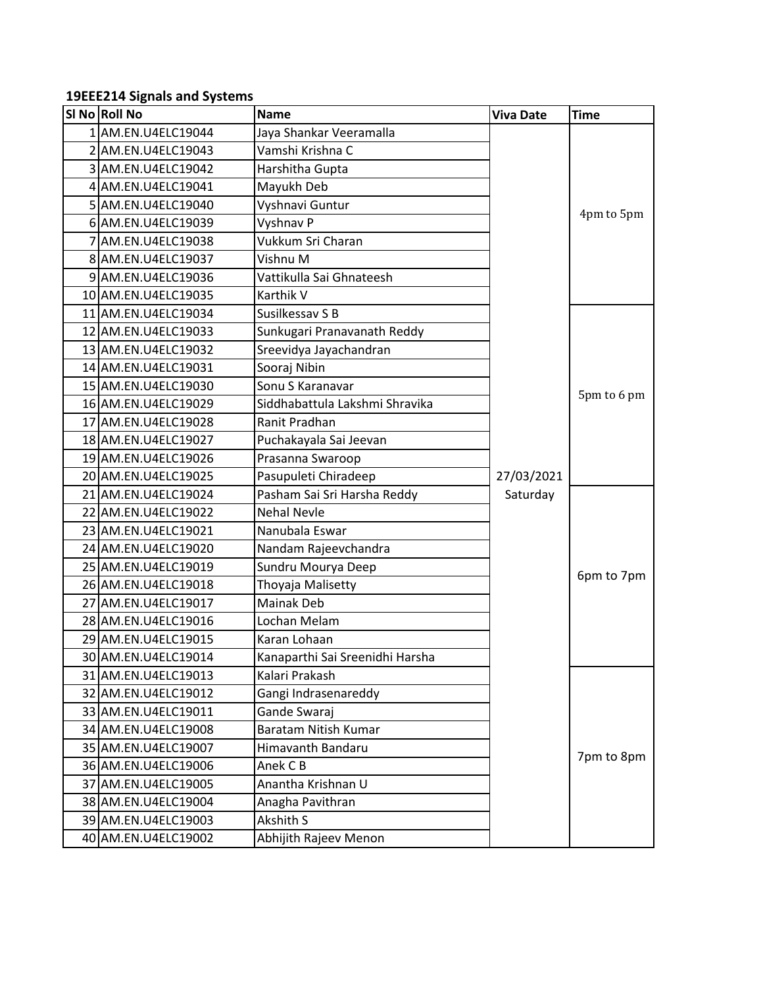#### **19EEE214 Signals and Systems**

| SI No Roll No       | <b>Name</b>                     | <b>Viva Date</b> | <b>Time</b> |
|---------------------|---------------------------------|------------------|-------------|
| 1 AM.EN.U4ELC19044  | Jaya Shankar Veeramalla         |                  |             |
| 2 AM.EN.U4ELC19043  | Vamshi Krishna C                |                  |             |
| 3 AM.EN.U4ELC19042  | Harshitha Gupta                 |                  |             |
| 4 AM.EN.U4ELC19041  | Mayukh Deb                      |                  |             |
| 5 AM.EN.U4ELC19040  | Vyshnavi Guntur                 |                  |             |
| 6 AM.EN.U4ELC19039  | Vyshnav P                       |                  | 4pm to 5pm  |
| 7 AM.EN.U4ELC19038  | Vukkum Sri Charan               |                  |             |
| 8 AM.EN.U4ELC19037  | Vishnu M                        |                  |             |
| 9 AM.EN.U4ELC19036  | Vattikulla Sai Ghnateesh        |                  |             |
| 10 AM.EN.U4ELC19035 | Karthik V                       |                  |             |
| 11 AM.EN.U4ELC19034 | Susilkessav S B                 |                  |             |
| 12 AM.EN.U4ELC19033 | Sunkugari Pranavanath Reddy     |                  |             |
| 13 AM.EN.U4ELC19032 | Sreevidya Jayachandran          |                  |             |
| 14 AM.EN.U4ELC19031 | Sooraj Nibin                    |                  |             |
| 15 AM.EN.U4ELC19030 | Sonu S Karanavar                |                  | 5pm to 6 pm |
| 16 AM.EN.U4ELC19029 | Siddhabattula Lakshmi Shravika  |                  |             |
| 17 AM.EN.U4ELC19028 | Ranit Pradhan                   |                  |             |
| 18 AM.EN.U4ELC19027 | Puchakayala Sai Jeevan          |                  |             |
| 19 AM.EN.U4ELC19026 | Prasanna Swaroop                |                  |             |
| 20 AM.EN.U4ELC19025 | Pasupuleti Chiradeep            | 27/03/2021       |             |
| 21 AM.EN.U4ELC19024 | Pasham Sai Sri Harsha Reddy     | Saturday         |             |
| 22 AM.EN.U4ELC19022 | <b>Nehal Nevle</b>              |                  |             |
| 23 AM.EN.U4ELC19021 | Nanubala Eswar                  |                  |             |
| 24 AM.EN.U4ELC19020 | Nandam Rajeevchandra            |                  |             |
| 25 AM.EN.U4ELC19019 | Sundru Mourya Deep              |                  | 6pm to 7pm  |
| 26 AM.EN.U4ELC19018 | Thoyaja Malisetty               |                  |             |
| 27 AM.EN.U4ELC19017 | Mainak Deb                      |                  |             |
| 28 AM.EN.U4ELC19016 | Lochan Melam                    |                  |             |
| 29 AM.EN.U4ELC19015 | Karan Lohaan                    |                  |             |
| 30 AM.EN.U4ELC19014 | Kanaparthi Sai Sreenidhi Harsha |                  |             |
| 31 AM.EN.U4ELC19013 | Kalari Prakash                  |                  |             |
| 32 AM.EN.U4ELC19012 | Gangi Indrasenareddy            |                  |             |
| 33 AM.EN.U4ELC19011 | Gande Swaraj                    |                  |             |
| 34 AM.EN.U4ELC19008 | Baratam Nitish Kumar            |                  |             |
| 35 AM.EN.U4ELC19007 | Himavanth Bandaru               |                  | 7pm to 8pm  |
| 36 AM.EN.U4ELC19006 | Anek C B                        |                  |             |
| 37 AM.EN.U4ELC19005 | Anantha Krishnan U              |                  |             |
| 38 AM.EN.U4ELC19004 | Anagha Pavithran                |                  |             |
| 39 AM.EN.U4ELC19003 | Akshith S                       |                  |             |
| 40 AM.EN.U4ELC19002 | Abhijith Rajeev Menon           |                  |             |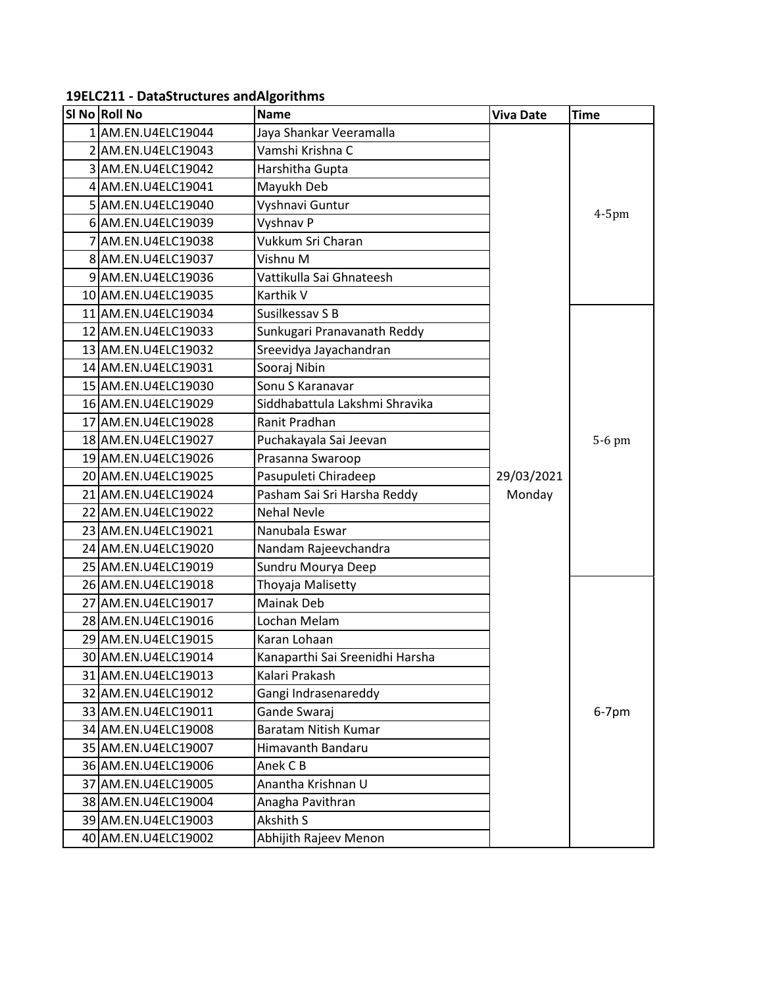| SI No Roll No       | Name                            | <b>Viva Date</b> | <b>Time</b> |
|---------------------|---------------------------------|------------------|-------------|
| 1 AM.EN.U4ELC19044  | Jaya Shankar Veeramalla         |                  |             |
| 2 AM.EN.U4ELC19043  | Vamshi Krishna C                |                  |             |
| 3 AM.EN.U4ELC19042  | Harshitha Gupta                 |                  |             |
| 4 AM.EN.U4ELC19041  | Mayukh Deb                      |                  |             |
| 5 AM.EN.U4ELC19040  | Vyshnavi Guntur                 |                  |             |
| 6 AM.EN.U4ELC19039  | Vyshnav P                       |                  | $4-5$ pm    |
| 7 AM.EN.U4ELC19038  | Vukkum Sri Charan               |                  |             |
| 8 AM.EN.U4ELC19037  | Vishnu M                        |                  |             |
| 9 AM.EN.U4ELC19036  | Vattikulla Sai Ghnateesh        |                  |             |
| 10 AM.EN.U4ELC19035 | Karthik V                       |                  |             |
| 11 AM.EN.U4ELC19034 | Susilkessav S B                 |                  |             |
| 12 AM.EN.U4ELC19033 | Sunkugari Pranavanath Reddy     |                  |             |
| 13 AM.EN.U4ELC19032 | Sreevidya Jayachandran          |                  |             |
| 14 AM.EN.U4ELC19031 | Sooraj Nibin                    |                  |             |
| 15 AM.EN.U4ELC19030 | Sonu S Karanavar                |                  |             |
| 16 AM.EN.U4ELC19029 | Siddhabattula Lakshmi Shravika  |                  |             |
| 17 AM.EN.U4ELC19028 | Ranit Pradhan                   |                  |             |
| 18 AM.EN.U4ELC19027 | Puchakayala Sai Jeevan          |                  | 5-6 pm      |
| 19 AM.EN.U4ELC19026 | Prasanna Swaroop                |                  |             |
| 20 AM.EN.U4ELC19025 | Pasupuleti Chiradeep            | 29/03/2021       |             |
| 21 AM.EN.U4ELC19024 | Pasham Sai Sri Harsha Reddy     | Monday           |             |
| 22 AM.EN.U4ELC19022 | <b>Nehal Nevle</b>              |                  |             |
| 23 AM.EN.U4ELC19021 | Nanubala Eswar                  |                  |             |
| 24 AM.EN.U4ELC19020 | Nandam Rajeevchandra            |                  |             |
| 25 AM.EN.U4ELC19019 | Sundru Mourya Deep              |                  |             |
| 26 AM.EN.U4ELC19018 | Thoyaja Malisetty               |                  |             |
| 27 AM.EN.U4ELC19017 | <b>Mainak Deb</b>               |                  |             |
| 28 AM.EN.U4ELC19016 | Lochan Melam                    |                  |             |
| 29 AM.EN.U4ELC19015 | Karan Lohaan                    |                  |             |
| 30 AM.EN.U4ELC19014 | Kanaparthi Sai Sreenidhi Harsha |                  |             |
| 31 AM.EN.U4ELC19013 | Kalari Prakash                  |                  |             |
| 32 AM.EN.U4ELC19012 | Gangi Indrasenareddy            |                  |             |
| 33 AM.EN.U4ELC19011 | Gande Swaraj                    |                  | $6-7$ pm    |
| 34 AM.EN.U4ELC19008 | Baratam Nitish Kumar            |                  |             |
| 35 AM.EN.U4ELC19007 | Himavanth Bandaru               |                  |             |
| 36 AM.EN.U4ELC19006 | Anek C B                        |                  |             |
| 37 AM.EN.U4ELC19005 | Anantha Krishnan U              |                  |             |
| 38 AM.EN.U4ELC19004 | Anagha Pavithran                |                  |             |
| 39 AM.EN.U4ELC19003 | Akshith S                       |                  |             |
| 40 AM.EN.U4ELC19002 | Abhijith Rajeev Menon           |                  |             |

### **19ELC211 - Data Structures and Algorithms**